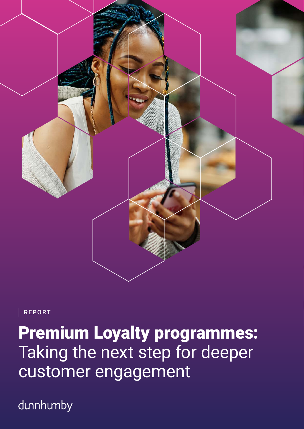

REPORT

Premium Loyalty programmes: Taking the next step for deeper customer engagement

dunnhumby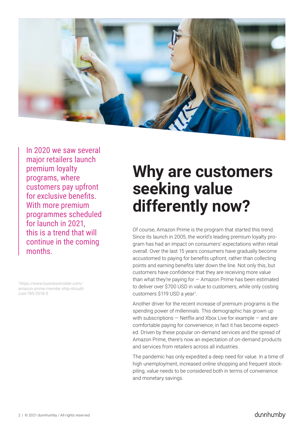

In 2020 we saw several major retailers launch premium loyalty programs, where customers pay upfront for exclusive benefits. With more premium programmes scheduled for launch in 2021, this is a trend that will continue in the coming months.

1 https://www.businessinsider.com/ amazon-prime-membe-ship-shouldcost-785-2018-5

### **Why are customers seeking value differently now?**

Of course, Amazon Prime is the program that started this trend. Since its launch in 2005, the world's leading premium loyalty program has had an impact on consumers' expectations within retail overall. Over the last 15 years consumers have gradually become accustomed to paying for benefits upfront, rather than collecting points and earning benefits later down the line. Not only this, but customers have confidence that they are receiving more value than what they're paying for  $-$  Amazon Prime has been estimated to deliver over \$700 USD in value to customers, while only costing customers \$119 USD a year<sup>1</sup>.

Another driver for the recent increase of premium programs is the spending power of millennials. This demographic has grown up with subscriptions — Netflix and Xbox Live for example — and are comfortable paying for convenience; in fact it has become expected. Driven by these popular on-demand services and the spread of Amazon Prime, there's now an expectation of on-demand products and services from retailers across all industries.

The pandemic has only expedited a deep need for value. In a time of high unemployment, increased online shopping and frequent stockpiling, value needs to be considered both in terms of convenience and monetary savings.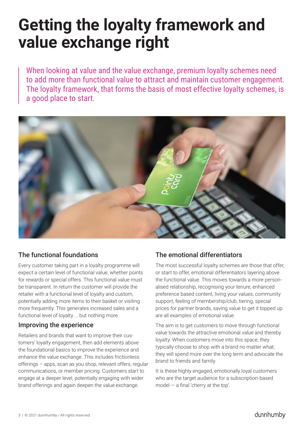# **Getting the loyalty framework and value exchange right**

When looking at value and the value exchange, premium loyalty schemes need to add more than functional value to attract and maintain customer engagement. The loyalty framework, that forms the basis of most effective loyalty schemes, is a good place to start.



### The functional foundations

Every customer taking part in a loyalty programme will expect a certain level of functional value, whether points for rewards or special offers. This functional value must be transparent. In return the customer will provide the retailer with a functional level of loyalty and custom, potentially adding more items to their basket or visiting more frequently. This generates increased sales and a functional level of loyalty ... but nothing more.

#### Improving the experience

Retailers and brands that want to improve their customers' loyalty engagement, then add elements above the foundational basics to improve the experience and enhance the value exchange. This includes frictionless offerings – apps, scan as you shop, relevant offers, regular communications, or member pricing. Customers start to engage at a deeper level, potentially engaging with wider brand offerings and again deepen the value exchange.

### The emotional differentiators

The most successful loyalty schemes are those that offer, or start to offer, emotional differentiators layering above the functional value. This moves towards a more personalised relationship, recognising your tenure, enhanced preference based content, living your values, community support, feeling of membership/club, tiering, special prices for partner brands, saving value to get it topped up are all examples of emotional value.

The aim is to get customers to move through functional value towards the attractive emotional value and thereby loyalty. When customers move into this space, they typically choose to shop with a brand no matter what; they will spend more over the long term and advocate the brand to friends and family.

It is these highly engaged, emotionally loyal customers who are the target audience for a subscription-based model — a final 'cherry at the top'.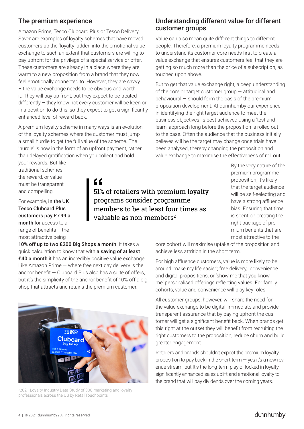### The premium experience

Amazon Prime, Tesco Clubcard Plus or Tesco Delivery Saver are examples of loyalty schemes that have moved customers up the 'loyalty ladder' into the emotional value exchange to such an extent that customers are willing to pay upfront for the privilege of a special service or offer. These customers are already in a place where they are warm to a new proposition from a brand that they now feel emotionally connected to. However, they are savvy – the value exchange needs to be obvious and worth it. They will pay up front, but they expect to be treated differently – they know not every customer will be keen or in a position to do this, so they expect to get a significantly enhanced level of reward back.

A premium loyalty scheme in many ways is an evolution of the loyalty schemes where the customer must jump a small hurdle to get the full value of the scheme. The 'hurdle' is now in the form of an upfront payment, rather than delayed gratification when you collect and hold

your rewards. But like traditional schemes, the reward, or value must be transparent and compelling.

For example, in the UK Tesco Clubcard Plus customers pay £7.99 a month for access to a range of benefits – the most attractive being

51% of retailers with premium loyalty programs consider programme members to be at least four times as valuable as non-members<sup>2</sup>  $^{\frac{66}{51\%}}$ 

10% off up to two £200 Big Shops a month. It takes a quick calculation to know that with a saving of at least £40 a month it has an incredibly positive value exchange. Like Amazon Prime — where free next day delivery is the anchor benefit  $-$  Clubcard Plus also has a suite of offers, but it's the simplicity of the anchor benefit of 10% off a big shop that attracts and retains the premium customer.



<sup>2</sup>2021 Loyalty Industry Data Study of 300 marketing and loyalty professionals across the US by RetailTouchpoints

#### Understanding different value for different customer groups

Value can also mean quite different things to different people. Therefore, a premium loyalty programme needs to understand its customer core needs first to create a value exchange that ensures customers feel that they are getting so much more than the price of a subscription, as touched upon above.

But to get that value exchange right, a deep understanding of the core or target customer group — attitudinal and behavioural — should form the basis of the premium proposition development. At dunnhumby our experience in identifying the right target audience to meet the business objectives, is best achieved using a 'test and learn' approach long before the proposition is rolled out to the base. Often the audience that the business initially believes will be the target may change once trials have been analysed, thereby changing the proposition and value exchange to maximise the effectiveness of roll out.

> By the very nature of the premium programme proposition, it's likely that the target audience will be self-selecting and have a strong affluence bias. Ensuring that time is spent on creating the right package of premium benefits that are most attractive to the

core cohort will maximise uptake of the proposition and achieve less attrition in the short term.

For high affluence customers, value is more likely to be around 'make my life easier'; free delivery, convenience and digital propositions, or 'show me that you know me' personalised offerings reflecting values. For family cohorts, value and convenience will play key roles.

All customer groups, however, will share the need for the value exchange to be digital, immediate and provide transparent assurance that by paying upfront the customer will get a significant benefit back. When brands get this right at the outset they will benefit from recruiting the right customers to the proposition, reduce churn and build greater engagement.

Retailers and brands shouldn't expect the premium loyalty proposition to pay back in the short term  $-$  yes it's a new revenue stream, but It's the long-term play of locked in loyalty, significantly enhanced sales uplift and emotional loyalty to the brand that will pay dividends over the coming years.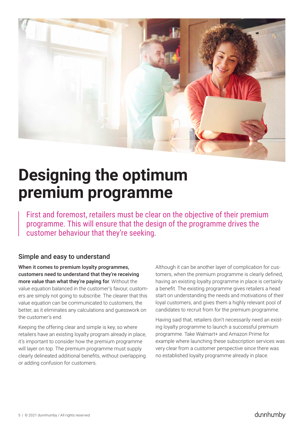

### **Designing the optimum premium programme**

First and foremost, retailers must be clear on the objective of their premium programme. This will ensure that the design of the programme drives the customer behaviour that they're seeking.

#### Simple and easy to understand

When it comes to premium loyalty programmes, customers need to understand that they're receiving more value than what they're paying for. Without the value equation balanced in the customer's favour, customers are simply not going to subscribe. The clearer that this value equation can be communicated to customers, the better, as it eliminates any calculations and guesswork on the customer's end.

Keeping the offering clear and simple is key, so where retailers have an existing loyalty program already in place, it's important to consider how the premium programme will layer on top. The premium programme must supply clearly delineated additional benefits, without overlapping or adding confusion for customers.

Although it can be another layer of complication for customers, when the premium programme is clearly defined, having an existing loyalty programme in place is certainly a benefit. The existing programme gives retailers a head start on understanding the needs and motivations of their loyal customers, and gives them a highly relevant pool of candidates to recruit from for the premium programme.

Having said that, retailers don't necessarily need an existing loyalty programme to launch a successful premium programme. Take Walmart+ and Amazon Prime for example where launching these subscription services was very clear from a customer perspective since there was no established loyalty programme already in place.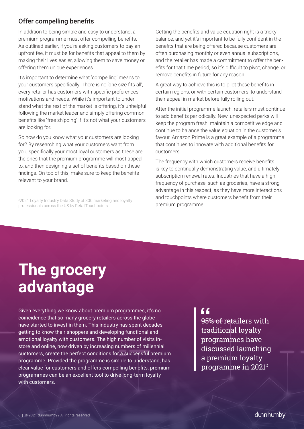### Offer compelling benefits

In addition to being simple and easy to understand, a premium programme must offer compelling benefits. As outlined earlier, if you're asking customers to pay an upfront fee, it must be for benefits that appeal to them by making their lives easier, allowing them to save money or offering them unique experiences

It's important to determine what 'compelling' means to your customers specifically. There is no 'one size fits all', every retailer has customers with specific preferences, motivations and needs. While it's important to understand what the rest of the market is offering, it's unhelpful following the market leader and simply offering common benefits like 'free shipping' if it's not what your customers are looking for.

So how do you know what your customers are looking for? By researching what your customers want from you, specifically your most loyal customers as these are the ones that the premium programme will most appeal to, and then designing a set of benefits based on these findings. On top of this, make sure to keep the benefits relevant to your brand.

<sup>2</sup>2021 Loyalty Industry Data Study of 300 marketing and loyalty professionals across the US by RetailTouchpoints

Getting the benefits and value equation right is a tricky balance, and yet it's important to be fully confident in the benefits that are being offered because customers are often purchasing monthly or even annual subscriptions, and the retailer has made a commitment to offer the benefits for that time period, so it's difficult to pivot, change, or remove benefits in future for any reason.

A great way to achieve this is to pilot these benefits in certain regions, or with certain customers, to understand their appeal in market before fully rolling out.

After the initial programme launch, retailers must continue to add benefits periodically. New, unexpected perks will keep the program fresh, maintain a competitive edge and continue to balance the value equation in the customer's favour. Amazon Prime is a great example of a programme that continues to innovate with additional benefits for customers.

The frequency with which customers receive benefits is key to continually demonstrating value, and ultimately subscription renewal rates. Industries that have a high frequency of purchase, such as groceries, have a strong advantage in this respect, as they have more interactions and touchpoints where customers benefit from their premium programme.

## **The grocery advantage**

Given everything we know about premium programmes, it's no coincidence that so many grocery retailers across the globe have started to invest in them. This industry has spent decades getting to know their shoppers and developing functional and emotional loyalty with customers. The high number of visits instore and online, now driven by increasing numbers of millennial customers, create the perfect conditions for a successful premium programme. Provided the programme is simple to understand, has clear value for customers and offers compelling benefits, premium programmes can be an excellent tool to drive long-term loyalty with customers.

95% of retailers with traditional loyalty programmes have discussed launching a premium loyalty programme in 20212  $^{\bullet}$   $^{\bullet}$   $^{\bullet}$ <br> $^{\bullet}$   $^{\bullet}$   $^{\bullet}$   $^{\bullet}$   $^{\bullet}$   $^{\bullet}$   $^{\bullet}$   $^{\bullet}$   $^{\bullet}$   $^{\bullet}$   $^{\bullet}$   $^{\bullet}$   $^{\bullet}$   $^{\bullet}$   $^{\bullet}$   $^{\bullet}$   $^{\bullet}$   $^{\bullet}$   $^{\bullet}$   $^{\bullet}$   $^{\bullet}$   $^{\bullet}$   $^{\bullet}$   $^{\bullet}$   $^{\bullet}$   $^{\bullet}$   $^{\bullet}$   $^{\bullet}$   $^{\bullet$